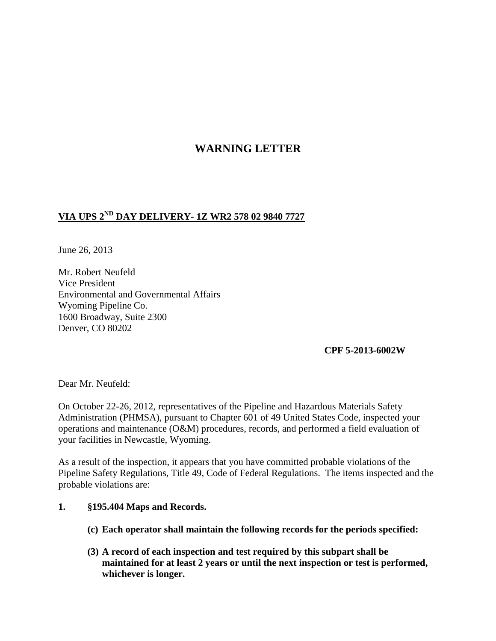# **WARNING LETTER**

## **VIA UPS 2ND DAY DELIVERY- 1Z WR2 578 02 9840 7727**

June 26, 2013

Mr. Robert Neufeld Vice President Environmental and Governmental Affairs Wyoming Pipeline Co. 1600 Broadway, Suite 2300 Denver, CO 80202

#### **CPF 5-2013-6002W**

Dear Mr. Neufeld:

On October 22-26, 2012, representatives of the Pipeline and Hazardous Materials Safety Administration (PHMSA), pursuant to Chapter 601 of 49 United States Code, inspected your operations and maintenance (O&M) procedures, records, and performed a field evaluation of your facilities in Newcastle, Wyoming.

As a result of the inspection, it appears that you have committed probable violations of the Pipeline Safety Regulations, Title 49, Code of Federal Regulations. The items inspected and the probable violations are:

#### **1. §195.404 Maps and Records.**

- **(c) Each operator shall maintain the following records for the periods specified:**
- **(3) A record of each inspection and test required by this subpart shall be maintained for at least 2 years or until the next inspection or test is performed, whichever is longer.**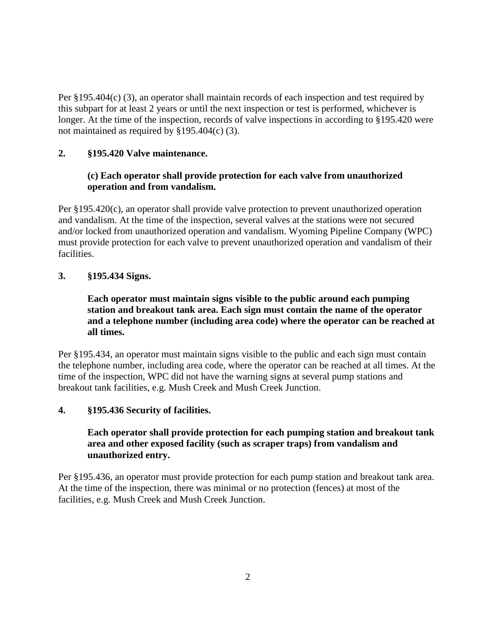Per §195.404(c) (3), an operator shall maintain records of each inspection and test required by this subpart for at least 2 years or until the next inspection or test is performed, whichever is longer. At the time of the inspection, records of valve inspections in according to §195.420 were not maintained as required by §195.404(c) (3).

## **2. §195.420 Valve maintenance.**

## **(c) Each operator shall provide protection for each valve from unauthorized operation and from vandalism.**

Per §195.420(c), an operator shall provide valve protection to prevent unauthorized operation and vandalism. At the time of the inspection, several valves at the stations were not secured and/or locked from unauthorized operation and vandalism. Wyoming Pipeline Company (WPC) must provide protection for each valve to prevent unauthorized operation and vandalism of their facilities.

#### **3. §195.434 Signs.**

## **Each operator must maintain signs visible to the public around each pumping station and breakout tank area. Each sign must contain the name of the operator and a telephone number (including area code) where the operator can be reached at all times.**

Per §195.434, an operator must maintain signs visible to the public and each sign must contain the telephone number, including area code, where the operator can be reached at all times. At the time of the inspection, WPC did not have the warning signs at several pump stations and breakout tank facilities, e.g. Mush Creek and Mush Creek Junction.

#### **4. §195.436 Security of facilities.**

## **Each operator shall provide protection for each pumping station and breakout tank area and other exposed facility (such as scraper traps) from vandalism and unauthorized entry.**

Per §195.436, an operator must provide protection for each pump station and breakout tank area. At the time of the inspection, there was minimal or no protection (fences) at most of the facilities, e.g. Mush Creek and Mush Creek Junction.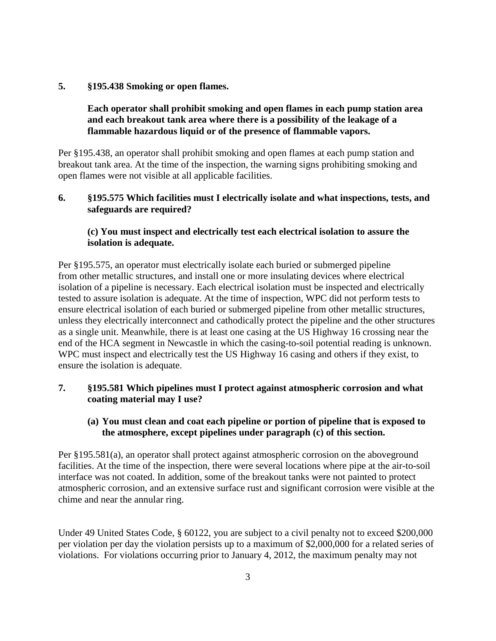#### **5. §195.438 Smoking or open flames.**

## **Each operator shall prohibit smoking and open flames in each pump station area and each breakout tank area where there is a possibility of the leakage of a flammable hazardous liquid or of the presence of flammable vapors.**

Per §195.438, an operator shall prohibit smoking and open flames at each pump station and breakout tank area. At the time of the inspection, the warning signs prohibiting smoking and open flames were not visible at all applicable facilities.

#### **6. §195.575 Which facilities must I electrically isolate and what inspections, tests, and safeguards are required?**

## **(c) You must inspect and electrically test each electrical isolation to assure the isolation is adequate.**

Per §195.575, an operator must electrically isolate each buried or submerged pipeline from other metallic structures, and install one or more insulating devices where electrical isolation of a pipeline is necessary. Each electrical isolation must be inspected and electrically tested to assure isolation is adequate. At the time of inspection, WPC did not perform tests to ensure electrical isolation of each buried or submerged pipeline from other metallic structures, unless they electrically interconnect and cathodically protect the pipeline and the other structures as a single unit. Meanwhile, there is at least one casing at the US Highway 16 crossing near the end of the HCA segment in Newcastle in which the casing-to-soil potential reading is unknown. WPC must inspect and electrically test the US Highway 16 casing and others if they exist, to ensure the isolation is adequate.

## **7. §195.581 Which pipelines must I protect against atmospheric corrosion and what coating material may I use?**

#### **(a) You must clean and coat each pipeline or portion of pipeline that is exposed to the atmosphere, except pipelines under paragraph (c) of this section.**

Per §195.581(a), an operator shall protect against atmospheric corrosion on the aboveground facilities. At the time of the inspection, there were several locations where pipe at the air-to-soil interface was not coated. In addition, some of the breakout tanks were not painted to protect atmospheric corrosion, and an extensive surface rust and significant corrosion were visible at the chime and near the annular ring.

Under 49 United States Code, § 60122, you are subject to a civil penalty not to exceed \$200,000 per violation per day the violation persists up to a maximum of \$2,000,000 for a related series of violations. For violations occurring prior to January 4, 2012, the maximum penalty may not